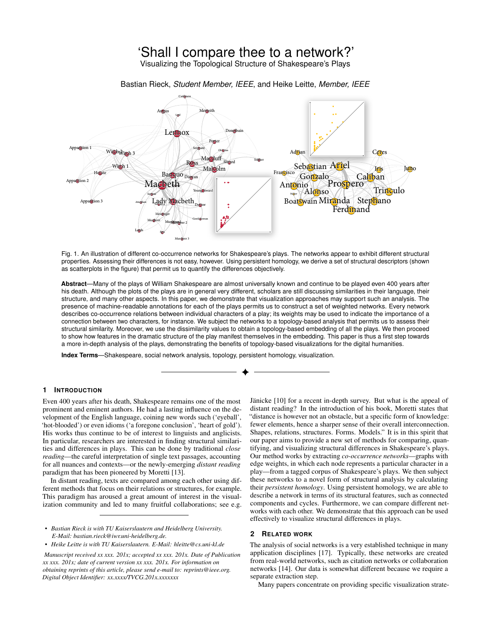# 'Shall I compare thee to a network?'

Visualizing the Topological Structure of Shakespeare's Plays

Bastian Rieck, *Student Member, IEEE*, and Heike Leitte, *Member, IEEE*



<span id="page-0-0"></span>Fig. 1. An illustration of different co-occurrence networks for Shakespeare's plays. The networks appear to exhibit different structural properties. Assessing their differences is not easy, however. Using persistent homology, we derive a set of structural descriptors (shown as scatterplots in the figure) that permit us to quantify the differences objectively.

**Abstract**—Many of the plays of William Shakespeare are almost universally known and continue to be played even 400 years after his death. Although the plots of the plays are in general very different, scholars are still discussing similarities in their language, their structure, and many other aspects. In this paper, we demonstrate that visualization approaches may support such an analysis. The presence of machine-readable annotations for each of the plays permits us to construct a set of weighted networks. Every network describes co-occurrence relations between individual characters of a play; its weights may be used to indicate the importance of a connection between two characters, for instance. We subject the networks to a topology-based analysis that permits us to assess their structural similarity. Moreover, we use the dissimilarity values to obtain a topology-based embedding of all the plays. We then proceed to show how features in the dramatic structure of the play manifest themselves in the embedding. This paper is thus a first step towards a more in-depth analysis of the plays, demonstrating the benefits of topology-based visualizations for the digital humanities.

**Index Terms**—Shakespeare, social network analysis, topology, persistent homology, visualization.

# **1 INTRODUCTION**

Even 400 years after his death, Shakespeare remains one of the most prominent and eminent authors. He had a lasting influence on the development of the English language, coining new words such ('eyeball', 'hot-blooded') or even idioms ('a foregone conclusion', 'heart of gold'). His works thus continue to be of interest to linguists and anglicists. In particular, researchers are interested in finding structural similarities and differences in plays. This can be done by traditional *close reading*—the careful interpretation of single text passages, accounting for all nuances and contexts—or the newly-emerging *distant reading* paradigm that has been pioneered by Moretti [\[13\]](#page-3-0).

In distant reading, texts are compared among each other using different methods that focus on their relations or structures, for example. This paradigm has aroused a great amount of interest in the visualization community and led to many fruitful collaborations; see e.g.

- *• Bastian Rieck is with TU Kaiserslautern and Heidelberg University. E-Mail: bastian.rieck@iwr.uni-heidelberg.de.*
- *• Heike Leitte is with TU Kaiserslautern. E-Mail: hleitte@cs.uni-kl.de*

*Manuscript received xx xxx. 201x; accepted xx xxx. 201x. Date of Publication xx xxx. 201x; date of current version xx xxx. 201x. For information on obtaining reprints of this article, please send e-mail to: reprints@ieee.org. Digital Object Identifier: xx.xxxx/TVCG.201x.xxxxxxx*

Jänicke [\[10\]](#page-3-1) for a recent in-depth survey. But what is the appeal of distant reading? In the introduction of his book, Moretti states that "distance is however not an obstacle, but a specific form of knowledge: fewer elements, hence a sharper sense of their overall interconnection. Shapes, relations, structures. Forms. Models." It is in this spirit that our paper aims to provide a new set of methods for comparing, quantifying, and visualizing structural differences in Shakespeare's plays. Our method works by extracting *co-occurrence networks*—graphs with edge weights, in which each node represents a particular character in a play—from a tagged corpus of Shakespeare's plays. We then subject these networks to a novel form of structural analysis by calculating their *persistent homology*. Using persistent homology, we are able to describe a network in terms of its structural features, such as connected components and cycles. Furthermore, we can compare different networks with each other. We demonstrate that this approach can be used effectively to visualize structural differences in plays.

## **2 RELATED WORK**

The analysis of social networks is a very established technique in many application disciplines [\[17\]](#page-3-2). Typically, these networks are created from real-world networks, such as citation networks or collaboration networks [\[14\]](#page-3-3). Our data is somewhat different because we require a separate extraction step.

Many papers concentrate on providing specific visualization strate-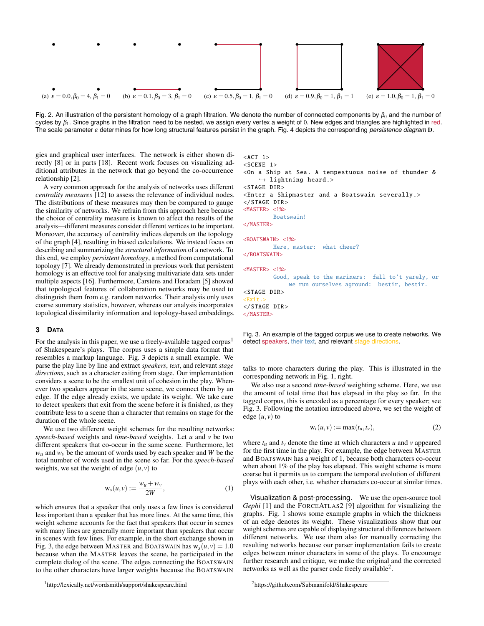

<span id="page-1-3"></span>Fig. 2. An illustration of the persistent homology of a graph filtration. We denote the number of connected components by  $\beta_0$  and the number of cycles by  $β_1$ . Since graphs in the filtration need to be nested, we assign every vertex a weight of 0. New edges and triangles are highlighted in red. The scale parameter ε determines for how long structural features persist in the graph. Fig. [4](#page-2-0) depicts the corresponding *persistence diagram* D.

gies and graphical user interfaces. The network is either shown directly [\[8\]](#page-3-4) or in parts [\[18\]](#page-3-5). Recent work focuses on visualizing additional attributes in the network that go beyond the co-occurrence relationship [\[2\]](#page-3-6).

A very common approach for the analysis of networks uses different *centrality measures* [\[12\]](#page-3-7) to assess the relevance of individual nodes. The distributions of these measures may then be compared to gauge the similarity of networks. We refrain from this approach here because the choice of centrality measure is known to affect the results of the analysis—different measures consider different vertices to be important. Moreover, the accuracy of centrality indices depends on the topology of the graph [\[4\]](#page-3-8), resulting in biased calculations. We instead focus on describing and summarizing the *structural information* of a network. To this end, we employ *persistent homology*, a method from computational topology [\[7\]](#page-3-9). We already demonstrated in previous work that persistent homology is an effective tool for analysing multivariate data sets under multiple aspects [\[16\]](#page-3-10). Furthermore, Carstens and Horadam [\[5\]](#page-3-11) showed that topological features of collaboration networks may be used to distinguish them from e.g. random networks. Their analysis only uses coarse summary statistics, however, whereas our analysis incorporates topological dissimilarity information and topology-based embeddings.

# **3 DATA**

For the analysis in this paper, we use a freely-available tagged corpus<sup>[1](#page-1-0)</sup> of Shakespeare's plays. The corpus uses a simple data format that resembles a markup language. Fig. [3](#page-1-1) depicts a small example. We parse the play line by line and extract *speakers*, *text*, and relevant *stage directions*, such as a character exiting from stage. Our implementation considers a scene to be the smallest unit of cohesion in the play. Whenever two speakers appear in the same scene, we connect them by an edge. If the edge already exists, we update its weight. We take care to detect speakers that exit from the scene before it is finished, as they contribute less to a scene than a character that remains on stage for the duration of the whole scene.

We use two different weight schemes for the resulting networks: *speech-based* weights and *time-based* weights. Let *u* and *v* be two different speakers that co-occur in the same scene. Furthermore, let  $w_u$  and  $w_v$  be the amount of words used by each speaker and *W* be the total number of words used in the scene so far. For the *speech-based* weights, we set the weight of edge  $(u, v)$  to

$$
\mathbf{w}_s(u,v) := \frac{w_u + w_v}{2W},\tag{1}
$$

which ensures that a speaker that only uses a few lines is considered less important than a speaker that has more lines. At the same time, this weight scheme accounts for the fact that speakers that occur in scenes with many lines are generally more important than speakers that occur in scenes with few lines. For example, in the short exchange shown in Fig. [3,](#page-1-1) the edge between MASTER and BOATSWAIN has  $w_s(u, v) = 1.0$ because when the MASTER leaves the scene, he participated in the complete dialog of the scene. The edges connecting the BOATSWAIN to the other characters have larger weights because the BOATSWAIN

```
<ACT 1>
<SCENE 1>
<On a Ship at Sea. A tempestuous noise of thunder &
     \hookrightarrow lightning heard.>
<STAGE DIR><Enter a Shipmaster and a Boatswain severally .>
</STAGE DIR >
<MASTER> <1%>
         Boatswain!
</MASTER>
<BOATSWAIN> <1%>
         Here, master: what cheer?
</BOATSWAIN>
<MASTER> <1%>
         Good, speak to the mariners: fall to't yarely, or
              we run ourselves aground: bestir, bestir.
<STAGE DIR>\timesFxit\rightarrow</STAGE DIR>
</MASTER>
```
<span id="page-1-1"></span>Fig. 3. An example of the tagged corpus we use to create networks. We detect speakers, their text, and relevant stage directions.

talks to more characters during the play. This is illustrated in the corresponding network in Fig. [1,](#page-0-0) right.

We also use a second *time-based* weighting scheme. Here, we use the amount of total time that has elapsed in the play so far. In the tagged corpus, this is encoded as a percentage for every speaker; see Fig. [3.](#page-1-1) Following the notation introduced above, we set the weight of edge  $(u, v)$  to

$$
w_t(u, v) := \max(t_u, t_v), \tag{2}
$$

where  $t_u$  and  $t_v$  denote the time at which characters  $u$  and  $v$  appeared for the first time in the play. For example, the edge between MASTER and BOATSWAIN has a weight of 1, because both characters co-occur when about 1% of the play has elapsed. This weight scheme is more coarse but it permits us to compare the temporal evolution of different plays with each other, i.e. whether characters co-occur at similar times.

Visualization & post-processing. We use the open-source tool *Gephi* [\[1\]](#page-3-12) and the FORCEATLAS2 [\[9\]](#page-3-13) algorithm for visualizing the graphs. Fig. [1](#page-0-0) shows some example graphs in which the thickness of an edge denotes its weight. These visualizations show that our weight schemes are capable of displaying structural differences between different networks. We use them also for manually correcting the resulting networks because our parser implementation fails to create edges between minor characters in some of the plays. To encourage further research and critique, we make the original and the corrected networks as well as the parser code freely available<sup>[2](#page-1-2)</sup>.

<span id="page-1-2"></span><sup>2</sup><https://github.com/Submanifold/Shakespeare>

<span id="page-1-0"></span><sup>1</sup><http://lexically.net/wordsmith/support/shakespeare.html>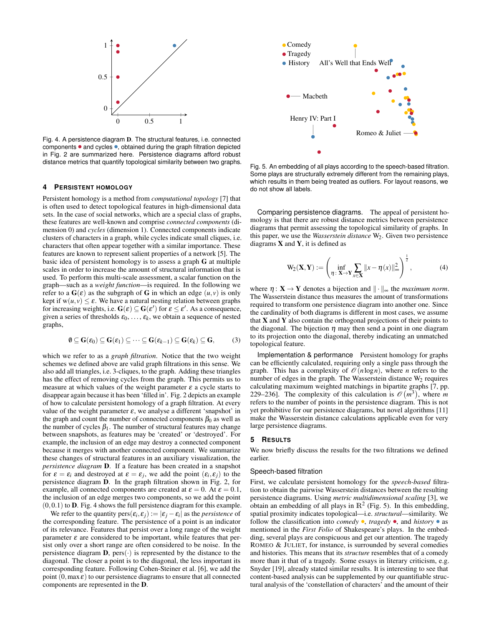

<span id="page-2-0"></span>Fig. 4. A persistence diagram D. The structural features, i.e. connected components  $\bullet$  and cycles  $\bullet$ , obtained during the graph filtration depicted in Fig. [2](#page-1-3) are summarized here. Persistence diagrams afford robust distance metrics that quantify topological similarity between two graphs.

#### **4 PERSISTENT HOMOLOGY**

Persistent homology is a method from *computational topology* [\[7\]](#page-3-9) that is often used to detect topological features in high-dimensional data sets. In the case of social networks, which are a special class of graphs, these features are well-known and comprise *connected components* (dimension 0) and *cycles* (dimension 1). Connected components indicate clusters of characters in a graph, while cycles indicate small cliques, i.e. characters that often appear together with a similar importance. These features are known to represent salient properties of a network [\[5\]](#page-3-11). The basic idea of persistent homology is to assess a graph G at multiple scales in order to increase the amount of structural information that is used. To perform this multi-scale assessment, a scalar function on the graph—such as a *weight function*—is required. In the following we refer to a  $G(\varepsilon)$  as the subgraph of G in which an edge  $(u, v)$  is only kept if  $w(u, v) \le \varepsilon$ . We have a natural nesting relation between graphs for increasing weights, i.e.  $G(\varepsilon) \subseteq G(\varepsilon')$  for  $\varepsilon \leq \varepsilon'$ . As a consequence, given a series of thresholds  $\varepsilon_0, \ldots, \varepsilon_k$ , we obtain a sequence of nested graphs,

$$
\emptyset \subseteq G(\varepsilon_0) \subseteq G(\varepsilon_1) \subseteq \cdots \subseteq G(\varepsilon_{k-1}) \subseteq G(\varepsilon_k) \subseteq G, \qquad (3)
$$

which we refer to as a *graph filtration*. Notice that the two weight schemes we defined above are valid graph filtrations in this sense. We also add all triangles, i.e. 3-cliques, to the graph. Adding these triangles has the effect of removing cycles from the graph. This permits us to measure at which values of the weight parameter  $\varepsilon$  a cycle starts to disappear again because it has been 'filled in'. Fig. [2](#page-1-3) depicts an example of how to calculate persistent homology of a graph filtration. At every value of the weight parameter  $\varepsilon$ , we analyse a different 'snapshot' in the graph and count the number of connected components  $\beta_0$  as well as the number of cycles  $\beta_1$ . The number of structural features may change between snapshots, as features may be 'created' or 'destroyed'. For example, the inclusion of an edge may destroy a connected component because it merges with another connected component. We summarize these changes of structural features in an auxiliary visualization, the *persistence diagram* D. If a feature has been created in a snapshot for  $\varepsilon = \varepsilon_i$  and destroyed at  $\varepsilon = \varepsilon_j$ , we add the point  $(\varepsilon_i, \varepsilon_j)$  to the persistence diagram D. In the graph filtration shown in Fig. [2,](#page-1-3) for example, all connected components are created at  $\varepsilon = 0$ . At  $\varepsilon = 0.1$ , the inclusion of an edge merges two components, so we add the point  $(0,0.1)$  to **D**. Fig. [4](#page-2-0) shows the full persistence diagram for this example.

We refer to the quantity  $pers(\varepsilon_i, \varepsilon_j) := |\varepsilon_j - \varepsilon_i|$  as the *persistence* of the corresponding feature. The persistence of a point is an indicator of its relevance. Features that persist over a long range of the weight parameter  $\varepsilon$  are considered to be important, while features that persist only over a short range are often considered to be noise. In the persistence diagram **D**, pers( $\cdot$ ) is represented by the distance to the diagonal. The closer a point is to the diagonal, the less important its corresponding feature. Following Cohen-Steiner et al. [\[6\]](#page-3-14), we add the point  $(0, \max \varepsilon)$  to our persistence diagrams to ensure that all connected components are represented in the D.



<span id="page-2-1"></span>Fig. 5. An embedding of all plays according to the speech-based filtration. Some plays are structurally extremely different from the remaining plays, which results in them being treated as outliers. For layout reasons, we do not show all labels.

Comparing persistence diagrams. The appeal of persistent homology is that there are robust distance metrics between persistence diagrams that permit assessing the topological similarity of graphs. In this paper, we use the *Wasserstein distance* W<sub>2</sub>. Given two persistence diagrams  $X$  and  $Y$ , it is defined as

$$
\mathbf{W}_2(\mathbf{X}, \mathbf{Y}) := \left(\inf_{\eta: \ \mathbf{X} \to \mathbf{Y}} \sum_{x \in \mathbf{X}} ||x - \eta(x)||_{\infty}^2\right)^{\frac{1}{2}},\tag{4}
$$

where  $\eta: \mathbf{X} \to \mathbf{Y}$  denotes a bijection and  $\|\cdot\|_{\infty}$  the *maximum norm*. The Wasserstein distance thus measures the amount of transformations required to transform one persistence diagram into another one. Since the cardinality of both diagrams is different in most cases, we assume that  $X$  and  $Y$  also contain the orthogonal projections of their points to the diagonal. The bijection  $\eta$  may then send a point in one diagram to its projection onto the diagonal, thereby indicating an unmatched topological feature.

Implementation & performance Persistent homology for graphs can be efficiently calculated, requiring only a single pass through the graph. This has a complexity of  $\mathcal{O}(n \log n)$ , where *n* refers to the number of edges in the graph. The Wasserstein distance  $W_2$  requires calculating maximum weighted matchings in bipartite graphs [\[7,](#page-3-9) pp. 229–236]. The complexity of this calculation is  $\mathcal{O}(m^3)$ , where m refers to the number of points in the persistence diagram. This is not yet prohibitive for our persistence diagrams, but novel algorithms [\[11\]](#page-3-15) make the Wasserstein distance calculations applicable even for very large persistence diagrams.

#### **5 RESULTS**

We now briefly discuss the results for the two filtrations we defined earlier.

# Speech-based filtration

First, we calculate persistent homology for the *speech-based* filtration to obtain the pairwise Wasserstein distances between the resulting persistence diagrams. Using *metric multidimensional scaling* [\[3\]](#page-3-16), we obtain an embedding of all plays in  $\mathbb{R}^2$  (Fig. [5\)](#page-2-1). In this embedding, spatial proximity indicates topological—i.e. *structural*—similarity. We follow the classification into *comedy*  $\bullet$ , *tragedy*  $\bullet$ , and *history*  $\bullet$  as mentioned in the *First Folio* of Shakespeare's plays. In the embedding, several plays are conspicuous and get our attention. The tragedy ROMEO & JULIET, for instance, is surrounded by several comedies and histories. This means that its *structure* resembles that of a comedy more than it that of a tragedy. Some essays in literary criticism, e.g. Snyder [\[19\]](#page-3-17), already stated similar results. It is interesting to see that content-based analysis can be supplemented by our quantifiable structural analysis of the 'constellation of characters' and the amount of their